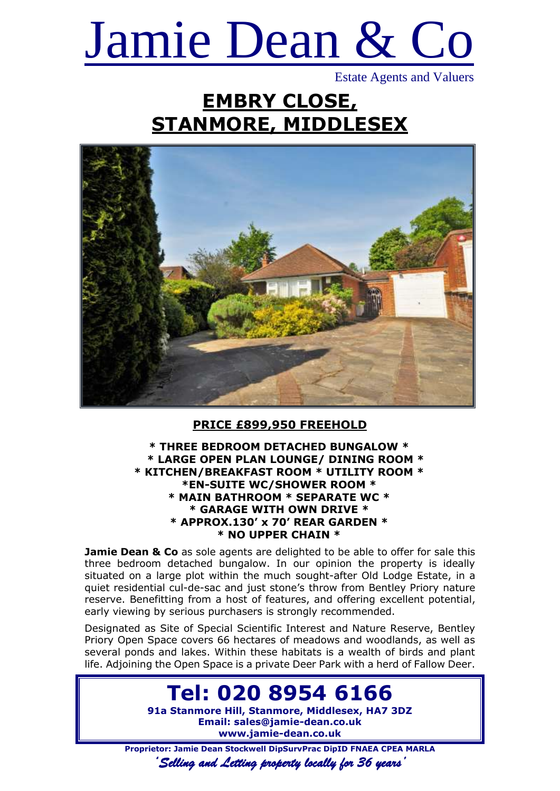# Jamie Dean & Co

Estate Agents and Valuers

## **EMBRY CLOSE, STANMORE, MIDDLESEX**



#### **PRICE £899,950 FREEHOLD**

#### **\* THREE BEDROOM DETACHED BUNGALOW \* \* LARGE OPEN PLAN LOUNGE/ DINING ROOM \* \* KITCHEN/BREAKFAST ROOM \* UTILITY ROOM \* \*EN-SUITE WC/SHOWER ROOM \* \* MAIN BATHROOM \* SEPARATE WC \* \* GARAGE WITH OWN DRIVE \* \* APPROX.130' x 70' REAR GARDEN \* \* NO UPPER CHAIN \***

**Jamie Dean & Co** as sole agents are delighted to be able to offer for sale this three bedroom detached bungalow. In our opinion the property is ideally situated on a large plot within the much sought-after Old Lodge Estate, in a quiet residential cul-de-sac and just stone's throw from Bentley Priory nature reserve. Benefitting from a host of features, and offering excellent potential, early viewing by serious purchasers is strongly recommended.

Designated as Site of Special Scientific Interest and Nature Reserve, Bentley Priory Open Space covers 66 hectares of meadows and woodlands, as well as several ponds and lakes. Within these habitats is a wealth of birds and plant life. Adjoining the Open Space is a private Deer Park with a herd of Fallow Deer.

### **Tel: 020 8954 6166**

**91a Stanmore Hill, Stanmore, Middlesex, HA7 3DZ Email: sales@jamie-dean.co.uk www.jamie-dean.co.uk**

**Proprietor: Jamie Dean Stockwell DipSurvPrac DipID FNAEA CPEA MARLA**

*'Selling and Letting property locally for 36 years'*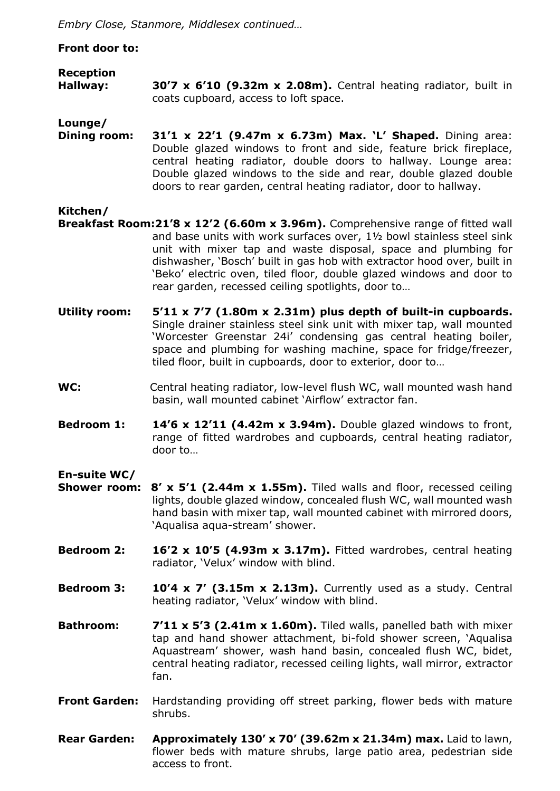*Embry Close, Stanmore, Middlesex continued…*

#### **Front door to:**

#### **Reception Hallway: 30'7 x 6'10 (9.32m x 2.08m).** Central heating radiator, built in coats cupboard, access to loft space.

**Lounge/**

**Dining room: 31'1 x 22'1 (9.47m x 6.73m) Max. 'L' Shaped.** Dining area: Double glazed windows to front and side, feature brick fireplace, central heating radiator, double doors to hallway. Lounge area: Double glazed windows to the side and rear, double glazed double doors to rear garden, central heating radiator, door to hallway.

#### **Kitchen/**

- **Breakfast Room:21'8 x 12'2 (6.60m x 3.96m).** Comprehensive range of fitted wall and base units with work surfaces over, 1½ bowl stainless steel sink unit with mixer tap and waste disposal, space and plumbing for dishwasher, 'Bosch' built in gas hob with extractor hood over, built in 'Beko' electric oven, tiled floor, double glazed windows and door to rear garden, recessed ceiling spotlights, door to…
- **Utility room: 5'11 x 7'7 (1.80m x 2.31m) plus depth of built-in cupboards.** Single drainer stainless steel sink unit with mixer tap, wall mounted 'Worcester Greenstar 24i' condensing gas central heating boiler, space and plumbing for washing machine, space for fridge/freezer, tiled floor, built in cupboards, door to exterior, door to…
- WC: Central heating radiator, low-level flush WC, wall mounted wash hand basin, wall mounted cabinet 'Airflow' extractor fan.
- **Bedroom 1: 14'6 x 12'11 (4.42m x 3.94m).** Double glazed windows to front, range of fitted wardrobes and cupboards, central heating radiator, door to…

#### **En-suite WC/**

- **Shower room: 8' x 5'1 (2.44m x 1.55m).** Tiled walls and floor, recessed ceiling lights, double glazed window, concealed flush WC, wall mounted wash hand basin with mixer tap, wall mounted cabinet with mirrored doors, 'Aqualisa aqua-stream' shower.
- **Bedroom 2: 16'2 x 10'5 (4.93m x 3.17m).** Fitted wardrobes, central heating radiator, 'Velux' window with blind.
- **Bedroom 3: 10'4 x 7' (3.15m x 2.13m).** Currently used as a study. Central heating radiator, 'Velux' window with blind.
- **Bathroom: 7'11 x 5'3 (2.41m x 1.60m).** Tiled walls, panelled bath with mixer tap and hand shower attachment, bi-fold shower screen, 'Aqualisa Aquastream' shower, wash hand basin, concealed flush WC, bidet, central heating radiator, recessed ceiling lights, wall mirror, extractor fan.
- **Front Garden:** Hardstanding providing off street parking, flower beds with mature shrubs.
- **Rear Garden: Approximately 130' x 70' (39.62m x 21.34m) max.** Laid to lawn, flower beds with mature shrubs, large patio area, pedestrian side access to front.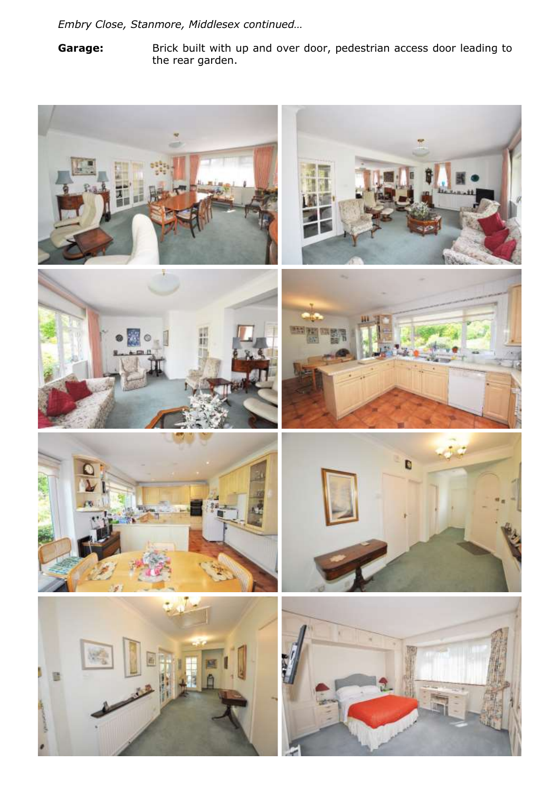*Embry Close, Stanmore, Middlesex continued…*

Garage: Brick built with up and over door, pedestrian access door leading to the rear garden.

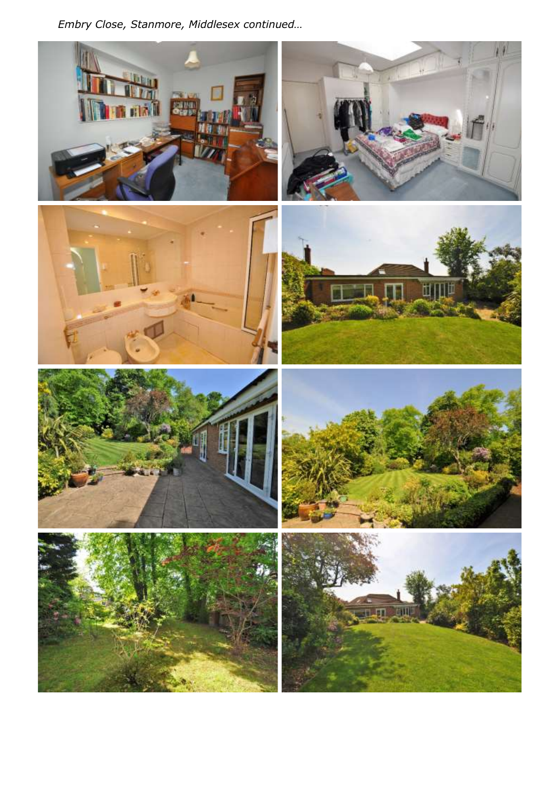Embry Close, Stanmore, Middlesex continued...